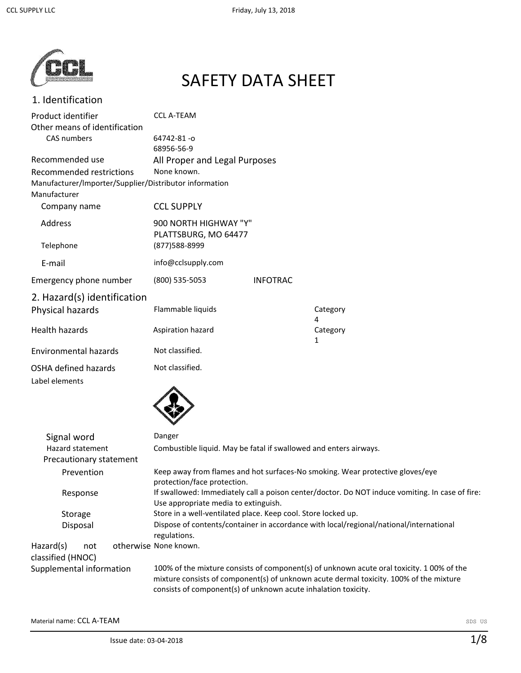

# SAFETY DATA SHEET

## 1. Identification

| Product identifier                                                     | <b>CCL A-TEAM</b>             |                 |                          |
|------------------------------------------------------------------------|-------------------------------|-----------------|--------------------------|
| Other means of identification                                          |                               |                 |                          |
| CAS numbers                                                            | 64742-81-0                    |                 |                          |
|                                                                        | 68956-56-9                    |                 |                          |
| Recommended use                                                        | All Proper and Legal Purposes |                 |                          |
| Recommended restrictions                                               | None known.                   |                 |                          |
| Manufacturer/Importer/Supplier/Distributor information<br>Manufacturer |                               |                 |                          |
| Company name                                                           | <b>CCL SUPPLY</b>             |                 |                          |
| Address                                                                | 900 NORTH HIGHWAY "Y"         |                 |                          |
|                                                                        | PLATTSBURG, MO 64477          |                 |                          |
| Telephone                                                              | (877) 588-8999                |                 |                          |
| E-mail                                                                 | info@cclsupply.com            |                 |                          |
| Emergency phone number                                                 | (800) 535-5053                | <b>INFOTRAC</b> |                          |
| 2. Hazard(s) identification                                            |                               |                 |                          |
| Physical hazards                                                       | Flammable liquids             |                 | Category<br>4            |
| <b>Health hazards</b>                                                  | Aspiration hazard             |                 | Category<br>$\mathbf{1}$ |
| <b>Environmental hazards</b>                                           | Not classified.               |                 |                          |
| OSHA defined hazards                                                   | Not classified.               |                 |                          |
| Label elements                                                         |                               |                 |                          |



| Signal word                                 | Danger                                                                                                                                                                                                                                                |
|---------------------------------------------|-------------------------------------------------------------------------------------------------------------------------------------------------------------------------------------------------------------------------------------------------------|
| Hazard statement<br>Precautionary statement | Combustible liquid. May be fatal if swallowed and enters airways.                                                                                                                                                                                     |
| Prevention                                  | Keep away from flames and hot surfaces-No smoking. Wear protective gloves/eye<br>protection/face protection.                                                                                                                                          |
| Response                                    | If swallowed: Immediately call a poison center/doctor. Do NOT induce vomiting. In case of fire:<br>Use appropriate media to extinguish.                                                                                                               |
| Storage                                     | Store in a well-ventilated place. Keep cool. Store locked up.                                                                                                                                                                                         |
| Disposal                                    | Dispose of contents/container in accordance with local/regional/national/international<br>regulations.                                                                                                                                                |
| Hazard(s)<br>not<br>classified (HNOC)       | otherwise None known.                                                                                                                                                                                                                                 |
| Supplemental information                    | 100% of the mixture consists of component(s) of unknown acute oral toxicity. 1 00% of the<br>mixture consists of component(s) of unknown acute dermal toxicity. 100% of the mixture<br>consists of component(s) of unknown acute inhalation toxicity. |

Material name: CCL A-TEAM SDS US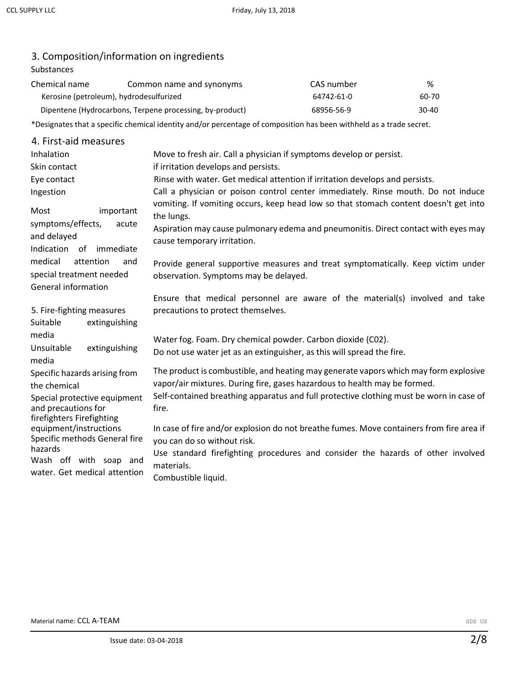# 3. Composition/information on ingredients

## Substances

| Chemical name | Common name and synonyms                                 | CAS number | %     |
|---------------|----------------------------------------------------------|------------|-------|
|               | Kerosine (petroleum), hydrodesulfurized                  | 64742-61-0 | 60-70 |
|               | Dipentene (Hydrocarbons, Terpene processing, by-product) | 68956-56-9 | 30-40 |

\*Designates that a specific chemical identity and/or percentage of composition has been withheld as a trade secret.

| 4. First-aid measures                                                                 |                                                                                                                                                                                          |
|---------------------------------------------------------------------------------------|------------------------------------------------------------------------------------------------------------------------------------------------------------------------------------------|
| Inhalation                                                                            | Move to fresh air. Call a physician if symptoms develop or persist.                                                                                                                      |
| Skin contact                                                                          | if irritation develops and persists.                                                                                                                                                     |
| Eye contact                                                                           | Rinse with water. Get medical attention if irritation develops and persists.                                                                                                             |
| Ingestion                                                                             | Call a physician or poison control center immediately. Rinse mouth. Do not induce                                                                                                        |
| Most<br>important<br>symptoms/effects,<br>acute                                       | vomiting. If vomiting occurs, keep head low so that stomach content doesn't get into<br>the lungs.<br>Aspiration may cause pulmonary edema and pneumonitis. Direct contact with eyes may |
| and delayed<br>Indication of<br>immediate                                             | cause temporary irritation.                                                                                                                                                              |
| medical<br>attention<br>and<br>special treatment needed<br><b>General information</b> | Provide general supportive measures and treat symptomatically. Keep victim under<br>observation. Symptoms may be delayed.                                                                |
|                                                                                       | Ensure that medical personnel are aware of the material(s) involved and take                                                                                                             |
| 5. Fire-fighting measures                                                             | precautions to protect themselves.                                                                                                                                                       |
| extinguishing<br>Suitable                                                             |                                                                                                                                                                                          |
| media                                                                                 | Water fog. Foam. Dry chemical powder. Carbon dioxide (C02).                                                                                                                              |
| extinguishing<br>Unsuitable<br>media                                                  | Do not use water jet as an extinguisher, as this will spread the fire.                                                                                                                   |
| Specific hazards arising from<br>the chemical                                         | The product is combustible, and heating may generate vapors which may form explosive<br>vapor/air mixtures. During fire, gases hazardous to health may be formed.                        |
| Special protective equipment<br>and precautions for<br>firefighters Firefighting      | Self-contained breathing apparatus and full protective clothing must be worn in case of<br>fire.                                                                                         |
| equipment/instructions<br>Specific methods General fire                               | In case of fire and/or explosion do not breathe fumes. Move containers from fire area if<br>you can do so without risk.                                                                  |
| hazards<br>Wash off with soap and                                                     | Use standard firefighting procedures and consider the hazards of other involved<br>materials.                                                                                            |
| water. Get medical attention                                                          | Combustible liquid.                                                                                                                                                                      |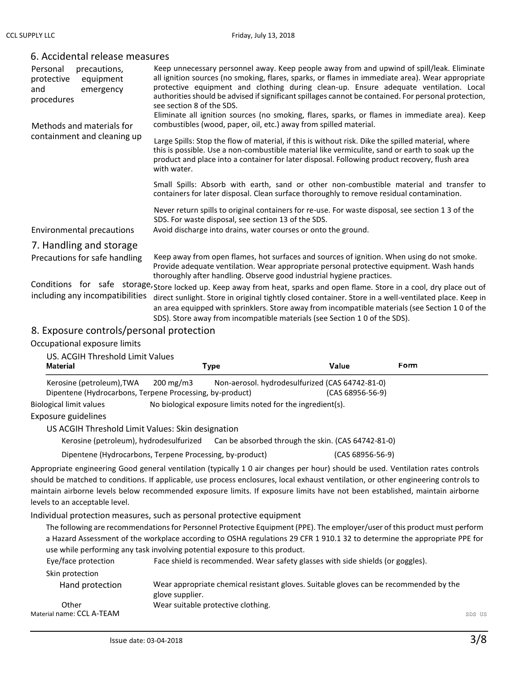| Personal<br>precautions,<br>protective<br>equipment<br>emergency<br>and<br>procedures<br>Methods and materials for | Keep unnecessary personnel away. Keep people away from and upwind of spill/leak. Eliminate<br>all ignition sources (no smoking, flares, sparks, or flames in immediate area). Wear appropriate<br>protective equipment and clothing during clean-up. Ensure adequate ventilation. Local<br>authorities should be advised if significant spillages cannot be contained. For personal protection,<br>see section 8 of the SDS.<br>Eliminate all ignition sources (no smoking, flares, sparks, or flames in immediate area). Keep<br>combustibles (wood, paper, oil, etc.) away from spilled material. |  |
|--------------------------------------------------------------------------------------------------------------------|-----------------------------------------------------------------------------------------------------------------------------------------------------------------------------------------------------------------------------------------------------------------------------------------------------------------------------------------------------------------------------------------------------------------------------------------------------------------------------------------------------------------------------------------------------------------------------------------------------|--|
|                                                                                                                    |                                                                                                                                                                                                                                                                                                                                                                                                                                                                                                                                                                                                     |  |
| containment and cleaning up                                                                                        | Large Spills: Stop the flow of material, if this is without risk. Dike the spilled material, where<br>this is possible. Use a non-combustible material like vermiculite, sand or earth to soak up the<br>product and place into a container for later disposal. Following product recovery, flush area<br>with water.                                                                                                                                                                                                                                                                               |  |
|                                                                                                                    | Small Spills: Absorb with earth, sand or other non-combustible material and transfer to<br>containers for later disposal. Clean surface thoroughly to remove residual contamination.                                                                                                                                                                                                                                                                                                                                                                                                                |  |
|                                                                                                                    | Never return spills to original containers for re-use. For waste disposal, see section 1 3 of the<br>SDS. For waste disposal, see section 13 of the SDS.                                                                                                                                                                                                                                                                                                                                                                                                                                            |  |
| Environmental precautions                                                                                          | Avoid discharge into drains, water courses or onto the ground.                                                                                                                                                                                                                                                                                                                                                                                                                                                                                                                                      |  |
| 7. Handling and storage                                                                                            |                                                                                                                                                                                                                                                                                                                                                                                                                                                                                                                                                                                                     |  |
| Precautions for safe handling                                                                                      | Keep away from open flames, hot surfaces and sources of ignition. When using do not smoke.<br>Provide adequate ventilation. Wear appropriate personal protective equipment. Wash hands<br>thoroughly after handling. Observe good industrial hygiene practices.                                                                                                                                                                                                                                                                                                                                     |  |
|                                                                                                                    | Conditions for safe storage, Store locked up. Keep away from heat, sparks and open flame. Store in a cool, dry place out of                                                                                                                                                                                                                                                                                                                                                                                                                                                                         |  |
| including any incompatibilities                                                                                    | direct sunlight. Store in original tightly closed container. Store in a well-ventilated place. Keep in<br>an area equipped with sprinklers. Store away from incompatible materials (see Section 10 of the<br>SDS). Store away from incompatible materials (see Section 1 0 of the SDS).                                                                                                                                                                                                                                                                                                             |  |
| 8 Exposure controls/personal protection                                                                            |                                                                                                                                                                                                                                                                                                                                                                                                                                                                                                                                                                                                     |  |

#### 6. Accidental release measures

8. Exposure controls/personal protection

Occupational exposure limits  $U$ CACCIH Threshold Limit Values

| US. ACGIH Threshold Limit Values<br><b>Material</b>      |                    | Type                                                       | Value                                              | Form |
|----------------------------------------------------------|--------------------|------------------------------------------------------------|----------------------------------------------------|------|
| Kerosine (petroleum), TWA                                | $200 \text{ mg/m}$ |                                                            | Non-aerosol. hydrodesulfurized (CAS 64742-81-0)    |      |
| Dipentene (Hydrocarbons, Terpene Processing, by-product) |                    |                                                            | $(CAS 68956-56-9)$                                 |      |
| <b>Biological limit values</b>                           |                    | No biological exposure limits noted for the ingredient(s). |                                                    |      |
| Exposure guidelines                                      |                    |                                                            |                                                    |      |
| US ACGIH Threshold Limit Values: Skin designation        |                    |                                                            |                                                    |      |
| Kerosine (petroleum), hydrodesulfurized                  |                    |                                                            | Can be absorbed through the skin. (CAS 64742-81-0) |      |
| Dipentene (Hydrocarbons, Terpene Processing, by-product) |                    |                                                            | $(CAS 68956-56-9)$                                 |      |

Appropriate engineering Good general ventilation (typically 1 0 air changes per hour) should be used. Ventilation rates controls should be matched to conditions. If applicable, use process enclosures, local exhaust ventilation, or other engineering controls to maintain airborne levels below recommended exposure limits. If exposure limits have not been established, maintain airborne levels to an acceptable level.

Individual protection measures, such as personal protective equipment

The following are recommendations for Personnel Protective Equipment (PPE). The employer/user of this product must perform a Hazard Assessment of the workplace according to OSHA regulations 29 CFR 1 910.1 32 to determine the appropriate PPE for use while performing any task involving potential exposure to this product.

| Eye/face protection       | Face shield is recommended. Wear safety glasses with side shields (or goggles).                          |        |
|---------------------------|----------------------------------------------------------------------------------------------------------|--------|
| Skin protection           |                                                                                                          |        |
| Hand protection           | Wear appropriate chemical resistant gloves. Suitable gloves can be recommended by the<br>glove supplier. |        |
| Other                     | Wear suitable protective clothing.                                                                       |        |
| Material name: CCL A-TEAM |                                                                                                          | SDS US |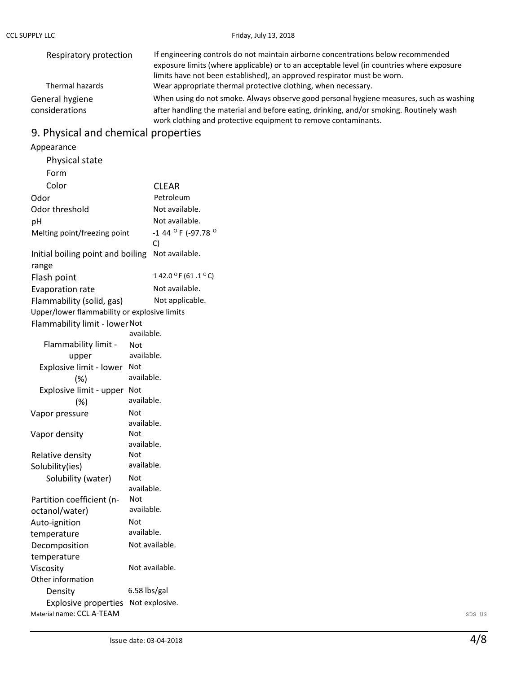| Respiratory protection            | If engineering controls do not maintain airborne concentrations below recommended<br>exposure limits (where applicable) or to an acceptable level (in countries where exposure<br>limits have not been established), an approved respirator must be worn. |
|-----------------------------------|-----------------------------------------------------------------------------------------------------------------------------------------------------------------------------------------------------------------------------------------------------------|
| Thermal hazards                   | Wear appropriate thermal protective clothing, when necessary.                                                                                                                                                                                             |
| General hygiene<br>considerations | When using do not smoke. Always observe good personal hygiene measures, such as washing<br>after handling the material and before eating, drinking, and/or smoking. Routinely wash<br>work clothing and protective equipment to remove contaminants.      |

## 9. Physical and chemical properties

#### Material name: CCL A-TEAM SDS US Appearance Physical state Form Color CLEAR Odor Petroleum Odor threshold Not available. pH Not available. Melting point/freezing point -1 44 °F (-97.78 ° C) Initial boiling point and boiling Not available. range Flash point  $142.0 °F (61.1 °C)$ Evaporation rate Not available. Flammability (solid, gas) Not applicable. Upper/lower flammability or explosive limits Flammability limit - lowerNot available. Flammability limit upper Not available. Explosive limit - lower Not (%) available. Explosive limit - upper Not (%) available. Vapor pressure Mot available. Vapor density Mot available. Relative density Solubility(ies) Not available. Solubility (water) Not available. Partition coefficient (noctanol/water) Not available. Auto-ignition temperature Not available. Decomposition temperature Not available. Viscosity Other information Not available. Density 6.58 lbs/gal Explosive properties Not explosive.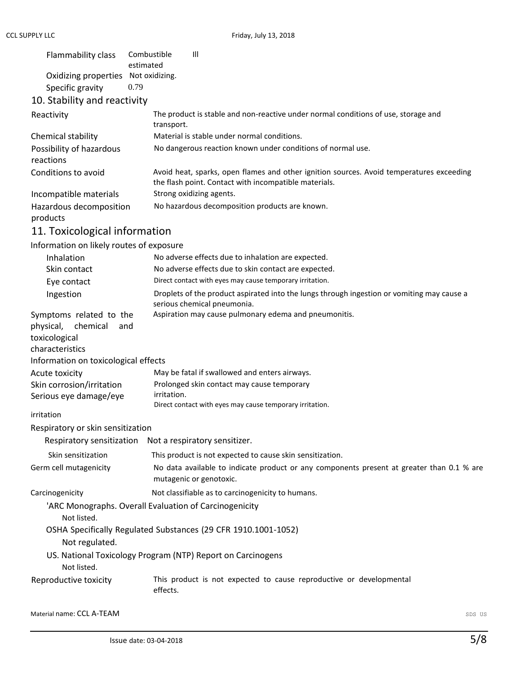| Flammability class                       | $\mathbf{III}$<br>Combustible<br>estimated                                                                                                        |
|------------------------------------------|---------------------------------------------------------------------------------------------------------------------------------------------------|
| Oxidizing properties                     | Not oxidizing.                                                                                                                                    |
| Specific gravity                         | 0.79                                                                                                                                              |
| 10. Stability and reactivity             |                                                                                                                                                   |
| Reactivity                               | The product is stable and non-reactive under normal conditions of use, storage and<br>transport.                                                  |
| Chemical stability                       | Material is stable under normal conditions.                                                                                                       |
| Possibility of hazardous<br>reactions    | No dangerous reaction known under conditions of normal use.                                                                                       |
| Conditions to avoid                      | Avoid heat, sparks, open flames and other ignition sources. Avoid temperatures exceeding<br>the flash point. Contact with incompatible materials. |
| Incompatible materials                   | Strong oxidizing agents.                                                                                                                          |
| Hazardous decomposition<br>products      | No hazardous decomposition products are known.                                                                                                    |
| 11. Toxicological information            |                                                                                                                                                   |
| Information on likely routes of exposure |                                                                                                                                                   |
| Inhalation                               | No adverse effects due to inhalation are expected.                                                                                                |
| Skin contact                             | No adverse effects due to skin contact are expected.                                                                                              |
| Eye contact                              | Direct contact with eyes may cause temporary irritation.                                                                                          |
| Ingestion                                | Droplets of the product aspirated into the lungs through ingestion or vomiting may cause a                                                        |

|                                                         | serious chemical pneumonia.                                                                                          |
|---------------------------------------------------------|----------------------------------------------------------------------------------------------------------------------|
| Symptoms related to the<br>chemical<br>physical,<br>and | Aspiration may cause pulmonary edema and pneumonitis.                                                                |
| toxicological                                           |                                                                                                                      |
| characteristics                                         |                                                                                                                      |
| Information on toxicological effects                    |                                                                                                                      |
| Acute toxicity                                          | May be fatal if swallowed and enters airways.                                                                        |
| Skin corrosion/irritation                               | Prolonged skin contact may cause temporary                                                                           |
| Serious eye damage/eye                                  | irritation.                                                                                                          |
|                                                         | Direct contact with eyes may cause temporary irritation.                                                             |
| irritation                                              |                                                                                                                      |
| Respiratory or skin sensitization                       |                                                                                                                      |
|                                                         | Respiratory sensitization Not a respiratory sensitizer.                                                              |
| Skin sensitization                                      | This product is not expected to cause skin sensitization.                                                            |
| Germ cell mutagenicity                                  | No data available to indicate product or any components present at greater than 0.1 % are<br>mutagenic or genotoxic. |

Carcinogenicity Not classifiable as to carcinogenicity to humans.

'ARC Monographs. Overall Evaluation of Carcinogenicity

Not listed.

OSHA Specifically Regulated Substances (29 CFR 1910.1001-1052)

Not regulated.

US. National Toxicology Program (NTP) Report on Carcinogens

Not listed.

Reproductive toxicity This product is not expected to cause reproductive or developmental effects.

Material name: CCL A-TEAM SDS US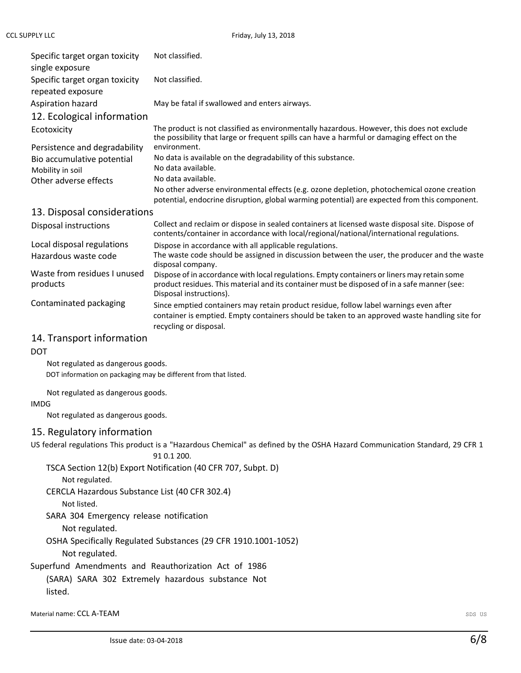| Specific target organ toxicity<br>single exposure   | Not classified.                                                                                                                                                                                                        |
|-----------------------------------------------------|------------------------------------------------------------------------------------------------------------------------------------------------------------------------------------------------------------------------|
| Specific target organ toxicity<br>repeated exposure | Not classified.                                                                                                                                                                                                        |
| Aspiration hazard                                   | May be fatal if swallowed and enters airways.                                                                                                                                                                          |
| 12. Ecological information                          |                                                                                                                                                                                                                        |
| Ecotoxicity                                         | The product is not classified as environmentally hazardous. However, this does not exclude<br>the possibility that large or frequent spills can have a harmful or damaging effect on the                               |
| Persistence and degradability                       | environment.                                                                                                                                                                                                           |
| Bio accumulative potential                          | No data is available on the degradability of this substance.                                                                                                                                                           |
| Mobility in soil                                    | No data available.<br>No data available.                                                                                                                                                                               |
| Other adverse effects                               | No other adverse environmental effects (e.g. ozone depletion, photochemical ozone creation<br>potential, endocrine disruption, global warming potential) are expected from this component.                             |
| 13. Disposal considerations                         |                                                                                                                                                                                                                        |
| Disposal instructions                               | Collect and reclaim or dispose in sealed containers at licensed waste disposal site. Dispose of<br>contents/container in accordance with local/regional/national/international regulations.                            |
| Local disposal regulations                          | Dispose in accordance with all applicable regulations.                                                                                                                                                                 |
| Hazardous waste code                                | The waste code should be assigned in discussion between the user, the producer and the waste<br>disposal company.                                                                                                      |
| Waste from residues I unused<br>products            | Dispose of in accordance with local regulations. Empty containers or liners may retain some<br>product residues. This material and its container must be disposed of in a safe manner (see:<br>Disposal instructions). |
| Contaminated packaging                              | Since emptied containers may retain product residue, follow label warnings even after<br>container is emptied. Empty containers should be taken to an approved waste handling site for<br>recycling or disposal.       |
|                                                     |                                                                                                                                                                                                                        |

### 14. Transport information

DOT

Not regulated as dangerous goods. DOT information on packaging may be different from that listed.

Not regulated as dangerous goods.

#### IMDG

Not regulated as dangerous goods.

## 15. Regulatory information

US federal regulations This product is a "Hazardous Chemical" as defined by the OSHA Hazard Communication Standard, 29 CFR 1

91 0.1 200.

TSCA Section 12(b) Export Notification (40 CFR 707, Subpt. D)

Not regulated.

CERCLA Hazardous Substance List (40 CFR 302.4)

Not listed.

SARA 304 Emergency release notification

Not regulated.

OSHA Specifically Regulated Substances (29 CFR 1910.1001-1052)

Not regulated.

Superfund Amendments and Reauthorization Act of 1986

(SARA) SARA 302 Extremely hazardous substance Not listed.

**Material name: CCL A-TEAM** SDS US **COMPATE AND ACCOUNT ACCOUNT ACCOUNT ACCOUNT ACCOUNT** AND SDS US US US US US US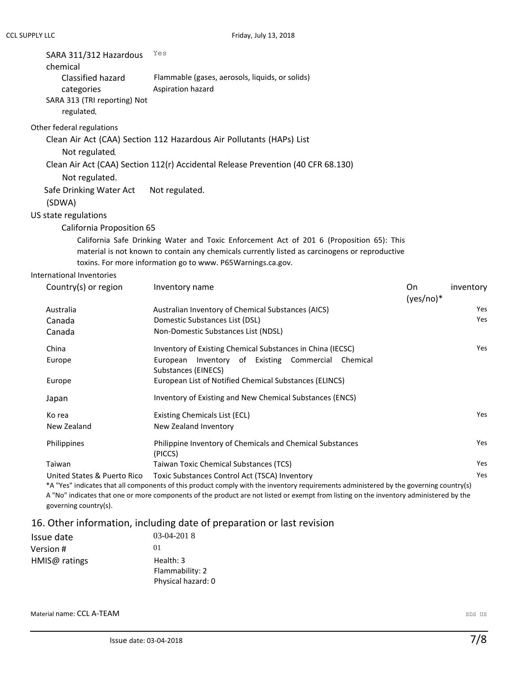| SARA 311/312 Hazardous<br>chemical<br>Classified hazard<br>categories<br>SARA 313 (TRI reporting) Not<br>regulated. | Yes<br>Flammable (gases, aerosols, liquids, or solids)<br>Aspiration hazard                    |
|---------------------------------------------------------------------------------------------------------------------|------------------------------------------------------------------------------------------------|
| Other federal regulations                                                                                           |                                                                                                |
|                                                                                                                     | Clean Air Act (CAA) Section 112 Hazardous Air Pollutants (HAPs) List                           |
| Not regulated                                                                                                       |                                                                                                |
|                                                                                                                     | Clean Air Act (CAA) Section 112(r) Accidental Release Prevention (40 CFR 68.130)               |
| Not regulated.                                                                                                      |                                                                                                |
| Safe Drinking Water Act                                                                                             | Not regulated.                                                                                 |
| (SDWA)                                                                                                              |                                                                                                |
| US state regulations                                                                                                |                                                                                                |
| California Proposition 65                                                                                           |                                                                                                |
|                                                                                                                     | California Safe Drinking Water and Toxic Enforcement Act of 201 6 (Proposition 65): This       |
|                                                                                                                     | material is not known to contain any chemicals currently listed as carcinogens or reproductive |
|                                                                                                                     | toxins. For more information go to www. P65Warnings.ca.gov.                                    |
| International Inventories                                                                                           |                                                                                                |

| Country(s) or region        | On<br>inventory<br>Inventory name<br>$(yes/no)*$                                                                                       |            |
|-----------------------------|----------------------------------------------------------------------------------------------------------------------------------------|------------|
| Australia                   | Australian Inventory of Chemical Substances (AICS)                                                                                     | Yes        |
| Canada                      | Domestic Substances List (DSL)                                                                                                         | Yes        |
| Canada                      | Non-Domestic Substances List (NDSL)                                                                                                    |            |
| China                       | Inventory of Existing Chemical Substances in China (IECSC)                                                                             | Yes        |
| Europe                      | Inventory of Existing Commercial<br>European<br>Chemical<br>Substances (EINECS)                                                        |            |
| Europe                      | European List of Notified Chemical Substances (ELINCS)                                                                                 |            |
| Japan                       | Inventory of Existing and New Chemical Substances (ENCS)                                                                               |            |
| Ko rea                      | Existing Chemicals List (ECL)                                                                                                          | Yes        |
| New Zealand                 | New Zealand Inventory                                                                                                                  |            |
| Philippines                 | Philippine Inventory of Chemicals and Chemical Substances<br>(PICCS)                                                                   | Yes        |
| Taiwan                      | Taiwan Toxic Chemical Substances (TCS)                                                                                                 | Yes        |
| United States & Puerto Rico | Toxic Substances Control Act (TSCA) Inventory                                                                                          | <b>Yes</b> |
|                             | *A "Yes" indicates that all components of this product comply with the inventory requirements administered by the governing country(s) |            |

A "No" indicates that one or more components of the product are not listed or exempt from listing on the inventory administered by the governing country(s).

## 16. Other information, including date of preparation or last revision

| Issue date    | $03-04-2018$                                       |
|---------------|----------------------------------------------------|
| Version #     | 01                                                 |
| HMIS@ ratings | Health: 3<br>Flammability: 2<br>Physical hazard: 0 |